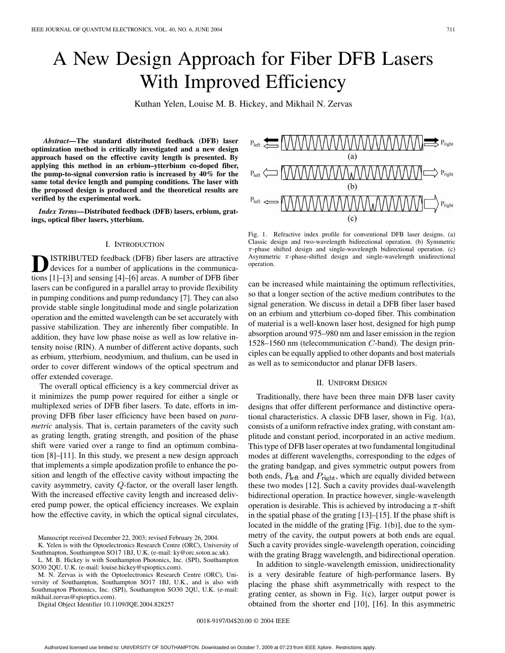# A New Design Approach for Fiber DFB Lasers With Improved Efficiency

Kuthan Yelen, Louise M. B. Hickey, and Mikhail N. Zervas

*Abstract—***The standard distributed feedback (DFB) laser optimization method is critically investigated and a new design approach based on the effective cavity length is presented. By applying this method in an erbium–ytterbium co-doped fiber, the pump-to-signal conversion ratio is increased by 40% for the same total device length and pumping conditions. The laser with the proposed design is produced and the theoretical results are verified by the experimental work.**

*Index Terms—***Distributed feedback (DFB) lasers, erbium, gratings, optical fiber lasers, ytterbium.**

## I. INTRODUCTION

**ISTRIBUTED** feedback (DFB) fiber lasers are attractive devices for a number of applications in the communications [\[1](#page-8-0)]–[[3\]](#page-8-0) and sensing [[4\]](#page-8-0)–[[6\]](#page-8-0) areas. A number of DFB fiber lasers can be configured in a parallel array to provide flexibility in pumping conditions and pump redundancy [[7\]](#page-8-0). They can also provide stable single longitudinal mode and single polarization operation and the emitted wavelength can be set accurately with passive stabilization. They are inherently fiber compatible. In addition, they have low phase noise as well as low relative intensity noise (RIN). A number of different active dopants, such as erbium, ytterbium, neodymium, and thulium, can be used in order to cover different windows of the optical spectrum and offer extended coverage.

The overall optical efficiency is a key commercial driver as it minimizes the pump power required for either a single or multiplexed series of DFB fiber lasers. To date, efforts in improving DFB fiber laser efficiency have been based on *parametric* analysis. That is, certain parameters of the cavity such as grating length, grating strength, and position of the phase shift were varied over a range to find an optimum combination [[8\]](#page-8-0)–[[11\]](#page-8-0). In this study, we present a new design approach that implements a simple apodization profile to enhance the position and length of the effective cavity without impacting the cavity asymmetry, cavity  $Q$ -factor, or the overall laser length. With the increased effective cavity length and increased delivered pump power, the optical efficiency increases. We explain how the effective cavity, in which the optical signal circulates,

Manuscript received December 22, 2003; revised February 26, 2004.

K. Yelen is with the Optoelectronics Research Centre (ORC), University of

Southmapton, Southampton SO17 1BJ, U.K. (e-mail: ky@orc.soton.ac.uk). L. M. B. Hickey is with Southampton Photonics, Inc. (SPI), Southampton SO30 2QU, U.K. (e-mail: louise.hickey@spioptics.com).

M. N. Zervas is with the Optoelectronics Research Centre (ORC), University of Southampton, Southampton SO17 1BJ, U.K., and is also with Southmapton Photonics, Inc. (SPI), Southampton SO30 2QU, U.K. (e-mail: mikhail.zervas@spioptics.com).

Digital Object Identifier 10.1109/JQE.2004.828257

 $(a)$  $(b)$ Fig. 1. Refractive index profile for conventional DFB laser designs. (a)

Classic design and two-wavelength bidirectional operation. (b) Symmetric  $\pi$ -phase shifted design and single-wavelength bidirectional operation. (c) Asymmetric  $\pi$ -phase-shifted design and single-wavelength unidirectional operation.

can be increased while maintaining the optimum reflectivities, so that a longer section of the active medium contributes to the signal generation. We discuss in detail a DFB fiber laser based on an erbium and ytterbium co-doped fiber. This combination of material is a well-known laser host, designed for high pump absorption around 975–980 nm and laser emission in the region  $1528-1560$  nm (telecommunication C-band). The design principles can be equally applied to other dopants and host materials as well as to semiconductor and planar DFB lasers.

## II. UNIFORM DESIGN

Traditionally, there have been three main DFB laser cavity designs that offer different performance and distinctive operational characteristics. A classic DFB laser, shown in Fig. 1(a), consists of a uniform refractive index grating, with constant amplitude and constant period, incorporated in an active medium. This type of DFB laser operates at two fundamental longitudinal modes at different wavelengths, corresponding to the edges of the grating bandgap, and gives symmetric output powers from both ends,  $P_{\text{left}}$  and  $P_{\text{right}}$ , which are equally divided between these two modes [\[12](#page-9-0)]. Such a cavity provides dual-wavelength bidirectional operation. In practice however, single-wavelength operation is desirable. This is achieved by introducing a  $\pi$ -shift in the spatial phase of the grating [[13\]](#page-9-0)–[\[15](#page-9-0)]. If the phase shift is located in the middle of the grating [Fig. 1(b)], due to the symmetry of the cavity, the output powers at both ends are equal. Such a cavity provides single-wavelength operation, coinciding with the grating Bragg wavelength, and bidirectional operation.

In addition to single-wavelength emission, unidirectionality is a very desirable feature of high-performance lasers. By placing the phase shift asymmetrically with respect to the grating center, as shown in Fig. 1(c), larger output power is obtained from the shorter end [\[10](#page-8-0)], [\[16](#page-9-0)]. In this asymmetric

0018-9197/04\$20.00 © 2004 IEEE

 $\mathbb{Z}_{\text{Right}}$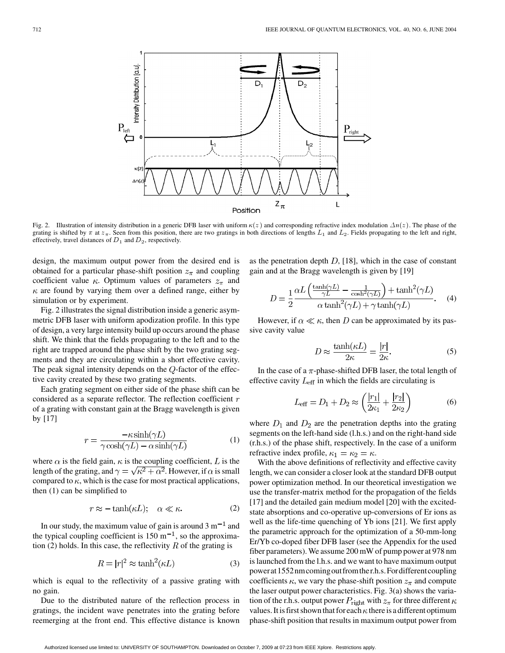

Fig. 2. Illustration of intensity distribution in a generic DFB laser with uniform  $\kappa(z)$  and corresponding refractive index modulation  $\Delta n(z)$ . The phase of the grating is shifted by  $\pi$  at  $z_{\pi}$ . Seen from this position, there are two gratings in both directions of lengths  $L_1$  and  $L_2$ . Fields propagating to the left and right, effectively, travel distances of  $D_1$  and  $D_2$ , respectively.

design, the maximum output power from the desired end is obtained for a particular phase-shift position  $z_{\pi}$  and coupling coefficient value  $\kappa$ . Optimum values of parameters  $z_{\pi}$  and  $\kappa$  are found by varying them over a defined range, either by simulation or by experiment.

Fig. 2 illustrates the signal distribution inside a generic asymmetric DFB laser with uniform apodization profile. In this type of design, a very large intensity build up occurs around the phase shift. We think that the fields propagating to the left and to the right are trapped around the phase shift by the two grating segments and they are circulating within a short effective cavity. The peak signal intensity depends on the  $Q$ -factor of the effective cavity created by these two grating segments.

Each grating segment on either side of the phase shift can be considered as a separate reflector. The reflection coefficient  $r$ of a grating with constant gain at the Bragg wavelength is given by [[17\]](#page-9-0)

$$
r = \frac{-\kappa \sinh(\gamma L)}{\gamma \cosh(\gamma L) - \alpha \sinh(\gamma L)}
$$
(1)

where  $\alpha$  is the field gain,  $\kappa$  is the coupling coefficient, L is the length of the grating, and  $\gamma = \sqrt{\kappa^2 + \alpha^2}$ . However, if  $\alpha$  is small compared to  $\kappa$ , which is the case for most practical applications, then (1) can be simplified to

$$
r \approx -\tanh(\kappa L); \quad \alpha \ll \kappa. \tag{2}
$$

In our study, the maximum value of gain is around  $3 \text{ m}^{-1}$  and the typical coupling coefficient is  $150 \text{ m}^{-1}$ , so the approximation (2) holds. In this case, the reflectivity  $R$  of the grating is

$$
R = |r|^2 \approx \tanh^2(\kappa L) \tag{3}
$$

which is equal to the reflectivity of a passive grating with no gain.

Due to the distributed nature of the reflection process in gratings, the incident wave penetrates into the grating before reemerging at the front end. This effective distance is known as the penetration depth  $D$ , [\[18](#page-9-0)], which in the case of constant gain and at the Bragg wavelength is given by [[19\]](#page-9-0)

$$
D = \frac{1}{2} \frac{\alpha L \left( \frac{\tanh(\gamma L)}{\gamma L} - \frac{1}{\cosh^2(\gamma L)} \right) + \tanh^2(\gamma L)}{\alpha \tanh^2(\gamma L) + \gamma \tanh(\gamma L)}. \quad (4)
$$

However, if  $\alpha \ll \kappa$ , then D can be approximated by its passive cavity value

$$
D \approx \frac{\tanh(\kappa L)}{2\kappa} = \frac{|r|}{2\kappa}.
$$
 (5)

In the case of a  $\pi$ -phase-shifted DFB laser, the total length of effective cavity  $L_{\text{eff}}$  in which the fields are circulating is

$$
L_{\text{eff}} = D_1 + D_2 \approx \left(\frac{|r_1|}{2\kappa_1} + \frac{|r_2|}{2\kappa_2}\right) \tag{6}
$$

where  $D_1$  and  $D_2$  are the penetration depths into the grating segments on the left-hand side (l.h.s.) and on the right-hand side (r.h.s.) of the phase shift, respectively. In the case of a uniform refractive index profile,  $\kappa_1 = \kappa_2 = \kappa$ .

With the above definitions of reflectivity and effective cavity length, we can consider a closer look at the standard DFB output power optimization method. In our theoretical investigation we use the transfer-matrix method for the propagation of the fields [[17\]](#page-9-0) and the detailed gain medium model [[20\]](#page-9-0) with the excitedstate absorptions and co-operative up-conversions of Er ions as well as the life-time quenching of Yb ions [[21\]](#page-9-0). We first apply the parametric approach for the optimization of a 50-mm-long Er/Yb co-doped fiber DFB laser (see the Appendix for the used fiber parameters). We assume 200 mW of pump power at 978 nm is launched from the l.h.s. and we want to have maximum output powerat1552nmcomingoutfromther.h.s.Fordifferentcoupling coefficients  $\kappa$ , we vary the phase-shift position  $z_{\pi}$  and compute the laser output power characteristics. Fig. 3(a) shows the variation of the r.h.s. output power  $P_{\text{right}}$  with  $z_{\pi}$  for three different  $\kappa$ values. It is first shown that for each  $\kappa$  there is a different optimum phase-shift position that results in maximum output power from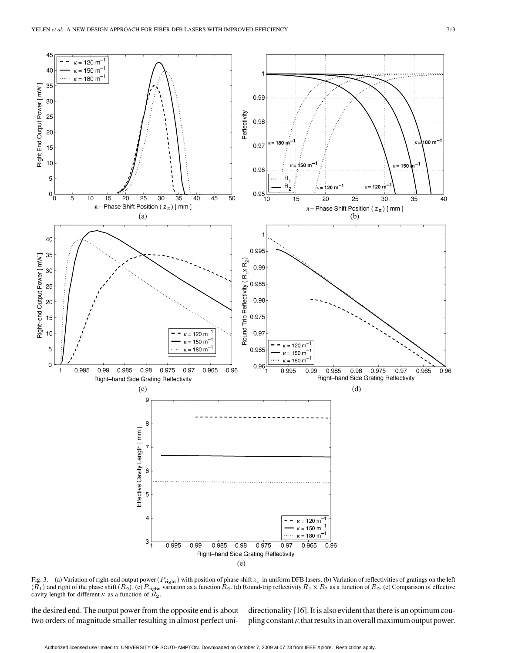

Fig. 3. (a) Variation of right-end output power ( $P_{\text{right}}$ ) with position of phase shift  $z_{\pi}$  in uniform DFB lasers. (b) Variation of reflectivities of gratings on the left  $(R_1)$  and right of the phase shift  $(R_2)$ . (c)  $P_{\text{right}}$  variation as a function  $R_2$ . (d) Round-trip reflectivity  $R_1 \times R_2$  as a function of  $R_2$ . (e) Comparison of effective cavity length for different  $\kappa$  as a function of  $\tilde{R}_2$ .

the desired end. The output power from the opposite end is about two orders of magnitude smaller resulting in almost perfect unidirectionality [\[16](#page-9-0)]. It is also evident that there is an optimum coupling constant  $\kappa$  that results in an overall maximum output power.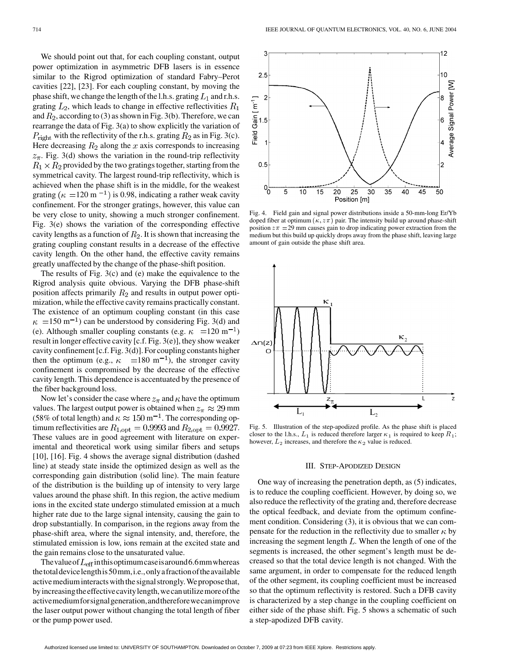We should point out that, for each coupling constant, output power optimization in asymmetric DFB lasers is in essence similar to the Rigrod optimization of standard Fabry–Perot cavities [\[22](#page-9-0)], [\[23](#page-9-0)]. For each coupling constant, by moving the phase shift, we change the length of the l.h.s. grating  $L_1$  and r.h.s. grating  $L_2$ , which leads to change in effective reflectivities  $R_1$ and  $R_2$ , according to (3) as shown in Fig. 3(b). Therefore, we can rearrange the data of Fig. 3(a) to show explicitly the variation of  $P_{\text{right}}$  with the reflectivity of the r.h.s. grating  $R_2$  as in Fig. 3(c). Here decreasing  $R_2$  along the x axis corresponds to increasing  $z_{\pi}$ . Fig. 3(d) shows the variation in the round-trip reflectivity  $R_1 \times R_2$  provided by the two gratings together, starting from the symmetrical cavity. The largest round-trip reflectivity, which is achieved when the phase shift is in the middle, for the weakest grating ( $\kappa$  =120 m<sup>-1</sup>) is 0.98, indicating a rather weak cavity confinement. For the stronger gratings, however, this value can be very close to unity, showing a much stronger confinement. Fig. 3(e) shows the variation of the corresponding effective cavity lengths as a function of  $R_2$ . It is shown that increasing the grating coupling constant results in a decrease of the effective cavity length. On the other hand, the effective cavity remains greatly unaffected by the change of the phase-shift position.

The results of Fig. 3(c) and (e) make the equivalence to the Rigrod analysis quite obvious. Varying the DFB phase-shift position affects primarily  $R_2$  and results in output power optimization, while the effective cavity remains practically constant. The existence of an optimum coupling constant (in this case  $\kappa = 150$  m<sup>-1</sup>) can be understood by considering Fig. 3(d) and (e). Although smaller coupling constants (e.g.  $\kappa = 120 \text{ m}^{-1}$ ) result in longer effective cavity [c.f. Fig. 3(e)], they show weaker cavity confinement [c.f. Fig. 3(d)]. For coupling constants higher then the optimum (e.g.,  $\kappa = 180 \text{ m}^{-1}$ ), the stronger cavity confinement is compromised by the decrease of the effective cavity length. This dependence is accentuated by the presence of the fiber background loss.

Now let's consider the case where  $z_{\pi}$  and  $\kappa$  have the optimum values. The largest output power is obtained when  $z_{\pi} \approx 29$  mm (58% of total length) and  $\kappa \approx 150 \,\mathrm{m}^{-1}$ . The corresponding optimum reflectivities are  $R_{1,\text{opt}} = 0.9993$  and  $R_{2,\text{opt}} = 0.9927$ . These values are in good agreement with literature on experimental and theoretical work using similar fibers and setups [[10\]](#page-8-0), [[16\]](#page-9-0). Fig. 4 shows the average signal distribution (dashed line) at steady state inside the optimized design as well as the corresponding gain distribution (solid line). The main feature of the distribution is the building up of intensity to very large values around the phase shift. In this region, the active medium ions in the excited state undergo stimulated emission at a much higher rate due to the large signal intensity, causing the gain to drop substantially. In comparison, in the regions away from the phase-shift area, where the signal intensity, and, therefore, the stimulated emission is low, ions remain at the excited state and the gain remains close to the unsaturated value.

The value of  $L_{\text{eff}}$  in this optimum case is around 6.6mm whereas thetotaldevicelengthis50mm,i.e.,onlyafractionoftheavailable active medium interacts with the signal strongly. We propose that, byincreasingtheeffectivecavitylength,wecanutilizemoreofthe activemediumforsignalgeneration,andthereforewecanimprove the laser output power without changing the total length of fiber or the pump power used.



Fig. 4. Field gain and signal power distributions inside a 50-mm-long Er/Yb doped fiber at optimum ( $\kappa$ ,  $z\pi$ ) pair. The intensity build up around phase-shift position  $z\pi = 29$  mm causes gain to drop indicating power extraction from the medium but this build up quickly drops away from the phase shift, leaving large amount of gain outside the phase shift area.



Fig. 5. Illustration of the step-apodized profile. As the phase shift is placed closer to the l.h.s.,  $L_1$  is reduced therefore larger  $\kappa_1$  is required to keep  $R_1$ ; however,  $L_2$  increases, and therefore the  $\kappa_2$  value is reduced.

## III. STEP-APODIZED DESIGN

One way of increasing the penetration depth, as (5) indicates, is to reduce the coupling coefficient. However, by doing so, we also reduce the reflectivity of the grating and, therefore decrease the optical feedback, and deviate from the optimum confinement condition. Considering (3), it is obvious that we can compensate for the reduction in the reflectivity due to smaller  $\kappa$  by increasing the segment length  $L$ . When the length of one of the segments is increased, the other segment's length must be decreased so that the total device length is not changed. With the same argument, in order to compensate for the reduced length of the other segment, its coupling coefficient must be increased so that the optimum reflectivity is restored. Such a DFB cavity is characterized by a step change in the coupling coefficient on either side of the phase shift. Fig. 5 shows a schematic of such a step-apodized DFB cavity.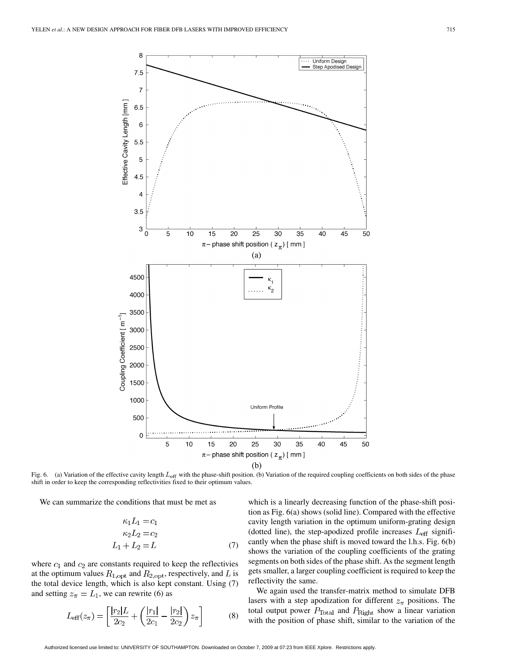

Fig. 6. (a) Variation of the effective cavity length  $L_{\text{eff}}$  with the phase-shift position. (b) Variation of the required coupling coefficients on both sides of the phase shift in order to keep the corresponding reflectivities fixed to their optimum values.

We can summarize the conditions that must be met as

$$
\kappa_1 L_1 = c_1
$$
  
\n
$$
\kappa_2 L_2 = c_2
$$
  
\n
$$
L_1 + L_2 = L
$$
 (7)

where  $c_1$  and  $c_2$  are constants required to keep the reflectivies at the optimum values  $R_{1,\text{opt}}$  and  $R_{2,\text{opt}}$ , respectively, and L is the total device length, which is also kept constant. Using (7) and setting  $z_{\pi} = L_1$ , we can rewrite (6) as

$$
L_{\text{eff}}(z_{\pi}) = \left[\frac{|r_2|L}{2c_2} + \left(\frac{|r_1|}{2c_1} - \frac{|r_2|}{2c_2}\right)z_{\pi}\right]
$$
(8)

which is a linearly decreasing function of the phase-shift position as Fig. 6(a) shows (solid line). Compared with the effective cavity length variation in the optimum uniform-grating design (dotted line), the step-apodized profile increases  $L_{\text{eff}}$  significantly when the phase shift is moved toward the l.h.s. Fig. 6(b) shows the variation of the coupling coefficients of the grating segments on both sides of the phase shift. As the segment length gets smaller, a larger coupling coefficient is required to keep the reflectivity the same.

We again used the transfer-matrix method to simulate DFB lasers with a step apodization for different  $z_{\pi}$  positions. The total output power  $P_{\text{Total}}$  and  $P_{\text{Right}}$  show a linear variation with the position of phase shift, similar to the variation of the

Authorized licensed use limited to: UNIVERSITY OF SOUTHAMPTON. Downloaded on October 7, 2009 at 07:23 from IEEE Xplore. Restrictions apply.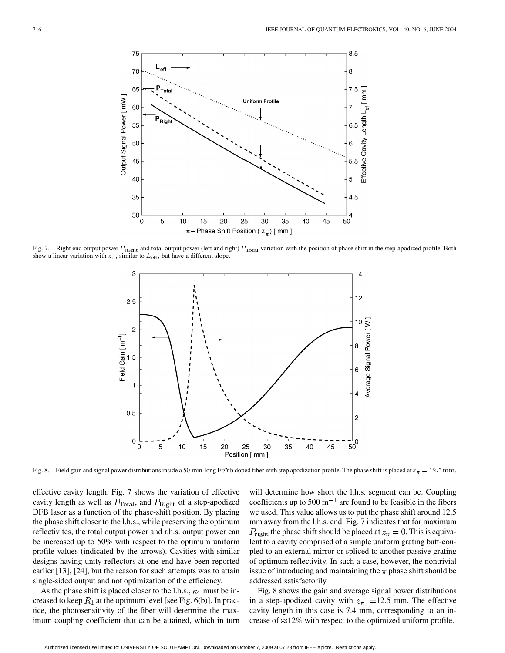

Fig. 7. Right end output power  $P_{\text{Right}}$  and total output power (left and right)  $P_{\text{Total}}$  variation with the position of phase shift in the step-apodized profile. Both show a linear variation with  $z_{\pi}$ , similar to  $L_{\text{eff}}$ , but have a different slope.



Fig. 8. Field gain and signal power distributions inside a 50-mm-long Er/Yb doped fiber with step apodization profile. The phase shift is placed at  $z_{\pi} = 12.5$  mm.

effective cavity length. Fig. 7 shows the variation of effective cavity length as well as  $P_{\text{Total}}$ , and  $P_{\text{Right}}$  of a step-apodized DFB laser as a function of the phase-shift position. By placing the phase shift closer to the l.h.s., while preserving the optimum reflectivites, the total output power and r.h.s. output power can be increased up to 50% with respect to the optimum uniform profile values (indicated by the arrows). Cavities with similar designs having unity reflectors at one end have been reported earlier [[13\]](#page-9-0), [[24\]](#page-9-0), but the reason for such attempts was to attain single-sided output and not optimization of the efficiency.

As the phase shift is placed closer to the l.h.s.,  $\kappa_1$  must be increased to keep  $R_1$  at the optimum level [see Fig. 6(b)]. In practice, the photosensitivity of the fiber will determine the maximum coupling coefficient that can be attained, which in turn will determine how short the l.h.s. segment can be. Coupling coefficients up to 500  $m^{-1}$  are found to be feasible in the fibers we used. This value allows us to put the phase shift around 12.5 mm away from the l.h.s. end. Fig. 7 indicates that for maximum  $P_{\text{right}}$  the phase shift should be placed at  $z_{\pi} = 0$ . This is equivalent to a cavity comprised of a simple uniform grating butt-coupled to an external mirror or spliced to another passive grating of optimum reflectivity. In such a case, however, the nontrivial issue of introducing and maintaining the  $\pi$  phase shift should be addressed satisfactorily.

Fig. 8 shows the gain and average signal power distributions in a step-apodized cavity with  $z_{\pi}$  =12.5 mm. The effective cavity length in this case is 7.4 mm, corresponding to an increase of  $\approx$ 12% with respect to the optimized uniform profile.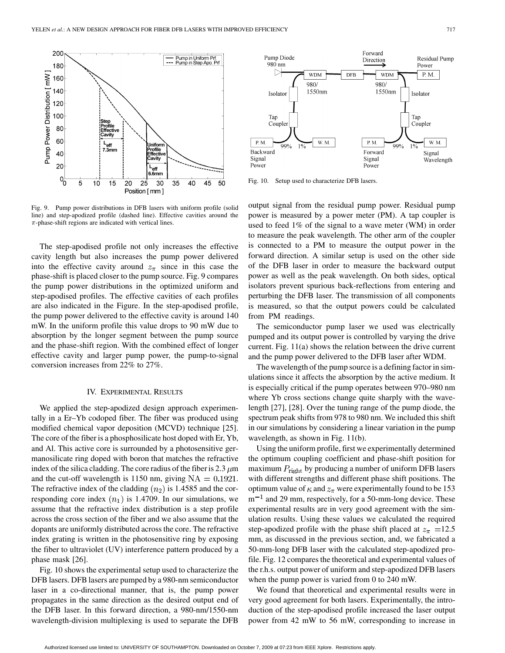

Fig. 9. Pump power distributions in DFB lasers with uniform profile (solid line) and step-apodized profile (dashed line). Effective cavities around the  $\pi$ -phase-shift regions are indicated with vertical lines.

The step-apodised profile not only increases the effective cavity length but also increases the pump power delivered into the effective cavity around  $z_{\pi}$  since in this case the phase-shift is placed closer to the pump source. Fig. 9 compares the pump power distributions in the optimized uniform and step-apodised profiles. The effective cavities of each profiles are also indicated in the Figure. In the step-apodised profile, the pump power delivered to the effective cavity is around 140 mW. In the uniform profile this value drops to 90 mW due to absorption by the longer segment between the pump source and the phase-shift region. With the combined effect of longer effective cavity and larger pump power, the pump-to-signal conversion increases from 22% to 27%.

#### IV. EXPERIMENTAL RESULTS

We applied the step-apodized design approach experimentally in a Er–Yb codoped fiber. The fiber was produced using modified chemical vapor deposition (MCVD) technique [\[25](#page-9-0)]. The core of the fiber is a phosphosilicate host doped with Er, Yb, and Al. This active core is surrounded by a photosensitive germanosilicate ring doped with boron that matches the refractive index of the silica cladding. The core radius of the fiber is 2.3  $\mu$ m and the cut-off wavelength is 1150 nm, giving  $NA = 0.1921$ . The refractive index of the cladding  $(n_2)$  is 1.4585 and the corresponding core index  $(n_1)$  is 1.4709. In our simulations, we assume that the refractive index distribution is a step profile across the cross section of the fiber and we also assume that the dopants are uniformly distributed across the core. The refractive index grating is written in the photosensitive ring by exposing the fiber to ultraviolet (UV) interference pattern produced by a phase mask [\[26](#page-9-0)].

Fig. 10 shows the experimental setup used to characterize the DFB lasers. DFB lasers are pumped by a 980-nm semiconductor laser in a co-directional manner, that is, the pump power propagates in the same direction as the desired output end of the DFB laser. In this forward direction, a 980-nm/1550-nm wavelength-division multiplexing is used to separate the DFB



Fig. 10. Setup used to characterize DFB lasers.

output signal from the residual pump power. Residual pump power is measured by a power meter (PM). A tap coupler is used to feed 1% of the signal to a wave meter (WM) in order to measure the peak wavelength. The other arm of the coupler is connected to a PM to measure the output power in the forward direction. A similar setup is used on the other side of the DFB laser in order to measure the backward output power as well as the peak wavelength. On both sides, optical isolators prevent spurious back-reflections from entering and perturbing the DFB laser. The transmission of all components is measured, so that the output powers could be calculated from PM readings.

The semiconductor pump laser we used was electrically pumped and its output power is controlled by varying the drive current. Fig. 11(a) shows the relation between the drive current and the pump power delivered to the DFB laser after WDM.

The wavelength of the pump source is a defining factor in simulations since it affects the absorption by the active medium. It is especially critical if the pump operates between 970–980 nm where Yb cross sections change quite sharply with the wavelength [[27\]](#page-9-0), [[28\]](#page-9-0). Over the tuning range of the pump diode, the spectrum peak shifts from 978 to 980 nm. We included this shift in our simulations by considering a linear variation in the pump wavelength, as shown in Fig. 11(b).

Using the uniform profile, first we experimentally determined the optimum coupling coefficient and phase-shift position for maximum  $P_{\text{right}}$  by producing a number of uniform DFB lasers with different strengths and different phase shift positions. The optimum value of  $\kappa$  and  $z_{\pi}$  were experimentally found to be 153  $m<sup>-1</sup>$  and 29 mm, respectively, for a 50-mm-long device. These experimental results are in very good agreement with the simulation results. Using these values we calculated the required step-apodized profile with the phase shift placed at  $z_{\pi}$  =12.5 mm, as discussed in the previous section, and, we fabricated a 50-mm-long DFB laser with the calculated step-apodized profile. Fig. 12 compares the theoretical and experimental values of the r.h.s. output power of uniform and step-apodized DFB lasers when the pump power is varied from 0 to 240 mW.

We found that theoretical and experimental results were in very good agreement for both lasers. Experimentally, the introduction of the step-apodised profile increased the laser output power from 42 mW to 56 mW, corresponding to increase in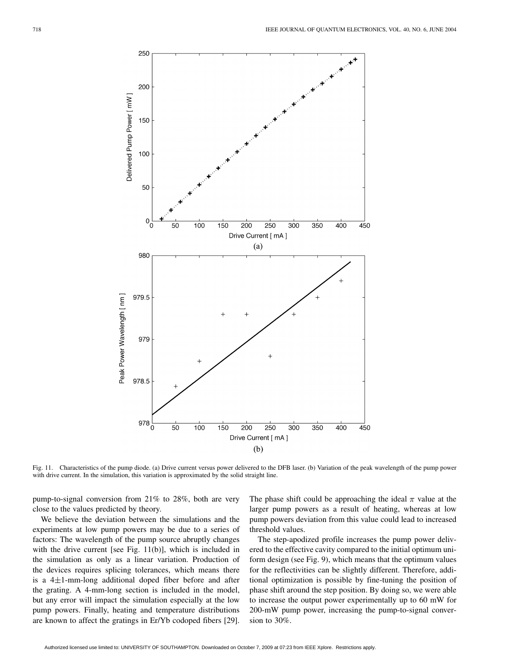

Fig. 11. Characteristics of the pump diode. (a) Drive current versus power delivered to the DFB laser. (b) Variation of the peak wavelength of the pump power with drive current. In the simulation, this variation is approximated by the solid straight line.

pump-to-signal conversion from 21% to 28%, both are very close to the values predicted by theory.

We believe the deviation between the simulations and the experiments at low pump powers may be due to a series of factors: The wavelength of the pump source abruptly changes with the drive current [see Fig. 11(b)], which is included in the simulation as only as a linear variation. Production of the devices requires splicing tolerances, which means there is a  $4\pm1$ -mm-long additional doped fiber before and after the grating. A 4-mm-long section is included in the model, but any error will impact the simulation especially at the low pump powers. Finally, heating and temperature distributions are known to affect the gratings in Er/Yb codoped fibers [[29\]](#page-9-0). The phase shift could be approaching the ideal  $\pi$  value at the larger pump powers as a result of heating, whereas at low pump powers deviation from this value could lead to increased threshold values.

The step-apodized profile increases the pump power delivered to the effective cavity compared to the initial optimum uniform design (see Fig. 9), which means that the optimum values for the reflectivities can be slightly different. Therefore, additional optimization is possible by fine-tuning the position of phase shift around the step position. By doing so, we were able to increase the output power experimentally up to 60 mW for 200-mW pump power, increasing the pump-to-signal conversion to 30%.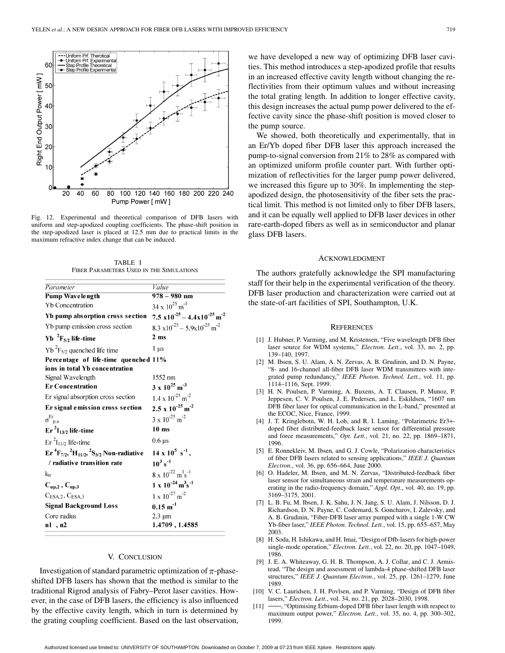<span id="page-8-0"></span>

Fig. 12. Experimental and theoretical comparison of DFB lasers with uniform and step-apodized coupling coefficients. The phase-shift position in the step-apodized laser is placed at 12.5 mm due to practical limits in the maximum refractive index change that can be induced.

TABLE I FIBER PARAMETERS USED IN THE SIMULATIONS

| Parameter                                                                                              | Value                                                       |
|--------------------------------------------------------------------------------------------------------|-------------------------------------------------------------|
| <b>Pump Wavelength</b>                                                                                 | $978 - 980$ nm                                              |
| <b>Yb</b> Concentration                                                                                | $34 \times 10^{25}$ m <sup>-3</sup>                         |
| Yb pump absorption cross section                                                                       | $7.5 \times 10^{-25} - 4.4 \times 10^{-25}$ m <sup>-2</sup> |
| Yb pump emission cross section                                                                         | $8.3 \times 10^{-25} - 5.9 \times 10^{-25}$ m <sup>-2</sup> |
| $Yb^{-2}F_{5/2}$ life-time                                                                             | 2 <sub>ms</sub>                                             |
| $Yb^{2}F_{5/2}$ quenched life time                                                                     | 1 µs                                                        |
| Percentage of life-time quenched 11%                                                                   |                                                             |
| ions in total Yb concentration                                                                         |                                                             |
| Signal Wavelength                                                                                      | 1552 nm                                                     |
| <b>Er Concentration</b>                                                                                | $3 \times 10^{25}$ m <sup>-3</sup>                          |
| Er signal absorption cross section                                                                     | $1.4 \times 10^{-25}$ m <sup>-2</sup>                       |
| Er signal emission cross section                                                                       | $2.5 \times 10^{-25}$ m <sup>-2</sup>                       |
| $\sigma_{p,a}^{\text{Er}}$                                                                             | $3 \times 10^{-25}$ m <sup>-2</sup>                         |
| $Er^2I_{13/2}$ life-time                                                                               | $10 \text{ ms}$                                             |
| $\mathrm{Er}^{2}I_{11/2}$ life-time                                                                    | $0.6 \,\mathrm{\mu s}$                                      |
| $\mathrm{Er} \, {}^4\mathrm{F}_{7/2}$ , ${}^2\mathrm{H}_{11/2}$ , ${}^2\mathrm{S}_{3/2}$ Non-radiative | $14 \times 10^5 \text{ s}^{-1}$ ,                           |
| / radiative transition rate                                                                            | $10^3 s^{-1}$                                               |
| $k_{tr}$                                                                                               | $8 \times 10^{-22}$ m <sup>3</sup> s <sup>-1</sup>          |
| $C_{up,2}$ , $C_{up,3}$                                                                                | $1 \times 10^{-24}$ m <sup>3</sup> s <sup>-1</sup>          |
| C <sub>ESA,2</sub> , C <sub>ESA,3</sub>                                                                | $1 \times 10^{-27}$ m <sup>-2</sup>                         |
| <b>Signal Background Loss</b>                                                                          | $0.15 \; \mathrm{m}^{\text{-}1}$                            |
| Core radius                                                                                            | $2.3 \mu m$                                                 |
| n1, n2                                                                                                 | 1.4709, 1.4585                                              |
|                                                                                                        |                                                             |

# V. CONCLUSION

Investigation of standard parametric optimization of  $\pi$ -phaseshifted DFB lasers has shown that the method is similar to the traditional Rigrod analysis of Fabry–Perot laser cavities. However, in the case of DFB lasers, the efficiency is also influenced by the effective cavity length, which in turn is determined by the grating coupling coefficient. Based on the last observation,

we have developed a new way of optimizing DFB laser cavities. This method introduces a step-apodized profile that results in an increased effective cavity length without changing the reflectivities from their optimum values and without increasing the total grating length. In addition to longer effective cavity, this design increases the actual pump power delivered to the effective cavity since the phase-shift position is moved closer to the pump source.

We showed, both theoretically and experimentally, that in an Er/Yb doped fiber DFB laser this approach increased the pump-to-signal conversion from 21% to 28% as compared with an optimized uniform profile counter part. With further optimization of reflectivities for the larger pump power delivered, we increased this figure up to 30%. In implementing the stepapodized design, the photosensitivity of the fiber sets the practical limit. This method is not limited only to fiber DFB lasers, and it can be equally well applied to DFB laser devices in other rare-earth-doped fibers as well as in semiconductor and planar glass DFB lasers.

## ACKNOWLEDGMENT

The authors gratefully acknowledge the SPI manufacturing staff for their help in the experimental verification of the theory. DFB laser production and characterization were carried out at the state-of-art facilities of SPI, Southampton, U.K.

## **REFERENCES**

- [1] J. Hubner, P. Varming, and M. Kristensen, "Five wavelength DFB fiber laser source for WDM systems," *Electron. Lett.*, vol. 33, no. 2, pp. 139–140, 1997.
- [2] M. Ibsen, S. U. Alam, A. N. Zervas, A. B. Grudinin, and D. N. Payne, "8- and 16-channel all-fiber DFB laser WDM transmitters with integrated pump redundancy," *IEEE Photon. Technol. Lett.*, vol. 11, pp. 1114–1116, Sept. 1999.
- [3] H. N. Poulsen, P. Varming, A. Buxens, A. T. Clausen, P. Munoz, P. Jeppesen, C. V. Poulsen, J. E. Pedersen, and L. Eskildsen, "1607 nm DFB fiber laser for optical communication in the L-band," presented at the ECOC, Nice, France, 1999.
- [4] J. T. Kringlebotn, W. H. Loh, and R. I. Laming, "Polarimetric Er3+ doped fiber distributed-feedback laser sensor for differential pressure and force measurements," *Opt. Lett.*, vol. 21, no. 22, pp. 1869–1871, 1996.
- [5] E. Ronnekleiv, M. Ibsen, and G. J. Cowle, "Polarization characteristics of fiber DFB lasers related to sensing applications," *IEEE J. Quantum Electron.*, vol. 36, pp. 656–664, June 2000.
- [6] O. Hadeler, M. Ibsen, and M. N. Zervas, "Distributed-feedback fiber laser sensor for simultaneous strain and temperature measurements operating in the radio-frequency domain," *Appl. Opt.*, vol. 40, no. 19, pp. 3169–3175, 2001.
- [7] L. B. Fu, M. Ibsen, J. K. Sahu, J. N. Jang, S. U. Alam, J. Nilsson, D. J. Richardson, D. N. Payne, C. Codemard, S. Goncharov, I. Zalevsky, and A. B. Grudinin, "Fiber-DFB laser array pumped with a single 1-W CW Yb-fiber laser," *IEEE Photon. Technol. Lett.*, vol. 15, pp. 655–657, May 2003.
- [8] H. Soda, H. Ishikawa, and H. Imai, "Design of Dfb-lasers for high-power single-mode operation," *Electron. Lett.*, vol. 22, no. 20, pp. 1047–1049, 1986.
- [9] J. E. A. Whiteaway, G. H. B. Thompson, A. J. Collar, and C. J. Armistead, "The design and assessment of lambda-4 phase-shifted DFB laser structures," *IEEE J. Quantum Electron.*, vol. 25, pp. 1261–1279, June 1989.
- [10] V. C. Lauridsen, J. H. Povlsen, and P. Varming, "Design of DFB fiber lasers," *Electron. Lett.*, vol. 34, no. 21, pp. 2028–2030, 1998.
- [11] -, "Optimising Erbium-doped DFB fiber laser length with respect to maximum output power," *Electron. Lett.*, vol. 35, no. 4, pp. 300–302, 1999.